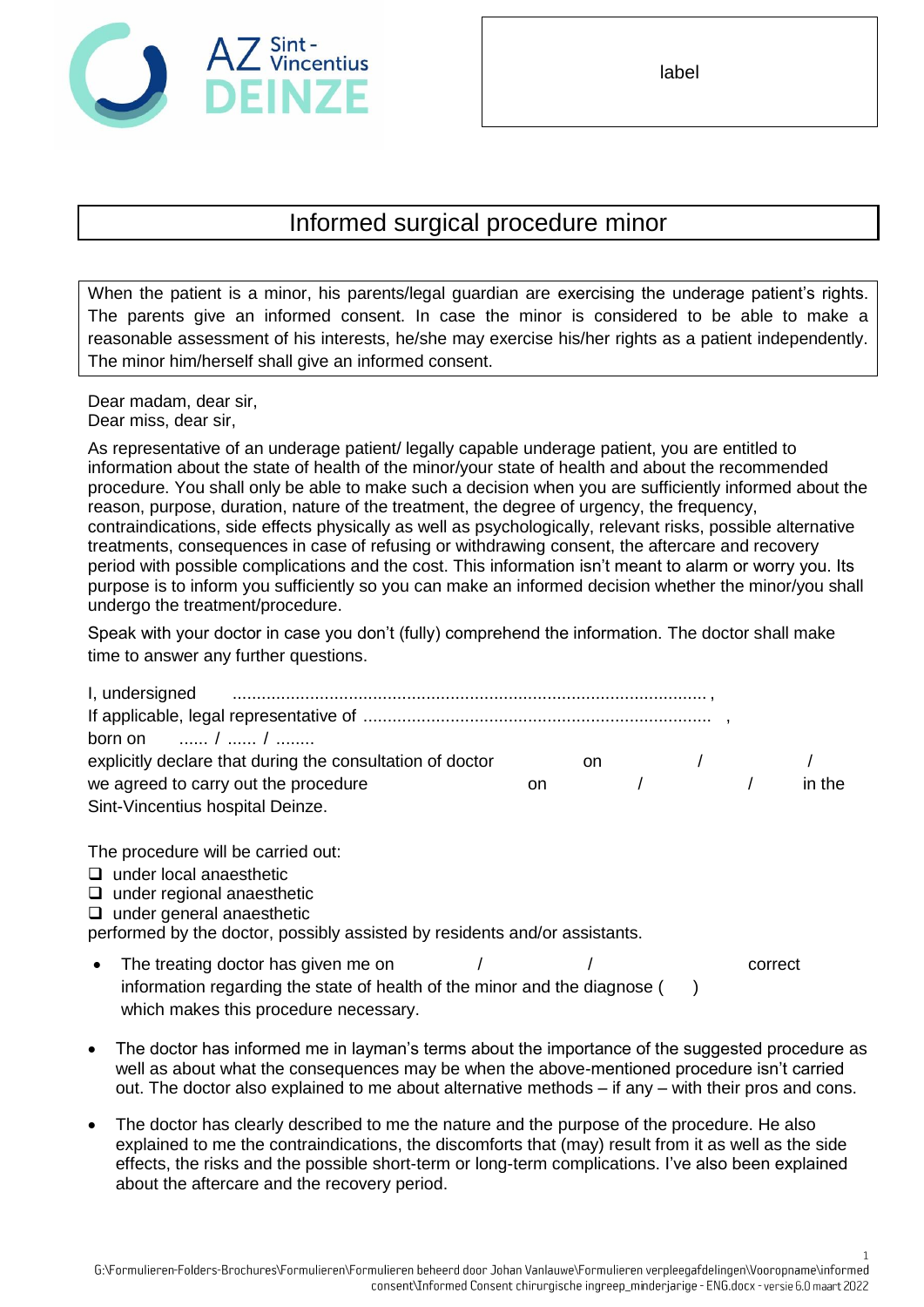

label

## Informed surgical procedure minor

When the patient is a minor, his parents/legal guardian are exercising the underage patient's rights. The parents give an informed consent. In case the minor is considered to be able to make a reasonable assessment of his interests, he/she may exercise his/her rights as a patient independently. The minor him/herself shall give an informed consent.

Dear madam, dear sir, Dear miss, dear sir,

As representative of an underage patient/ legally capable underage patient, you are entitled to information about the state of health of the minor/your state of health and about the recommended procedure. You shall only be able to make such a decision when you are sufficiently informed about the reason, purpose, duration, nature of the treatment, the degree of urgency, the frequency, contraindications, side effects physically as well as psychologically, relevant risks, possible alternative treatments, consequences in case of refusing or withdrawing consent, the aftercare and recovery period with possible complications and the cost. This information isn't meant to alarm or worry you. Its purpose is to inform you sufficiently so you can make an informed decision whether the minor/you shall undergo the treatment/procedure.

Speak with your doctor in case you don't (fully) comprehend the information. The doctor shall make time to answer any further questions.

| I, undersigned                                            |     |            |                |        |
|-----------------------------------------------------------|-----|------------|----------------|--------|
|                                                           |     |            |                |        |
| born on $\frac{1}{2}$ /                                   |     |            |                |        |
| explicitly declare that during the consultation of doctor | on. |            | $\overline{1}$ |        |
| we agreed to carry out the procedure                      | on. | $\sqrt{2}$ |                | in the |
| Sint-Vincentius hospital Deinze.                          |     |            |                |        |

The procedure will be carried out:

- $\Box$  under local anaesthetic
- $\Box$  under regional anaesthetic
- $\Box$  under general anaesthetic

performed by the doctor, possibly assisted by residents and/or assistants.

- The treating doctor has given me on  $\sqrt{2}$  / correct information regarding the state of health of the minor and the diagnose  $($ ) which makes this procedure necessary.
- The doctor has informed me in layman's terms about the importance of the suggested procedure as well as about what the consequences may be when the above-mentioned procedure isn't carried out. The doctor also explained to me about alternative methods – if any – with their pros and cons.
- The doctor has clearly described to me the nature and the purpose of the procedure. He also explained to me the contraindications, the discomforts that (may) result from it as well as the side effects, the risks and the possible short-term or long-term complications. I've also been explained about the aftercare and the recovery period.